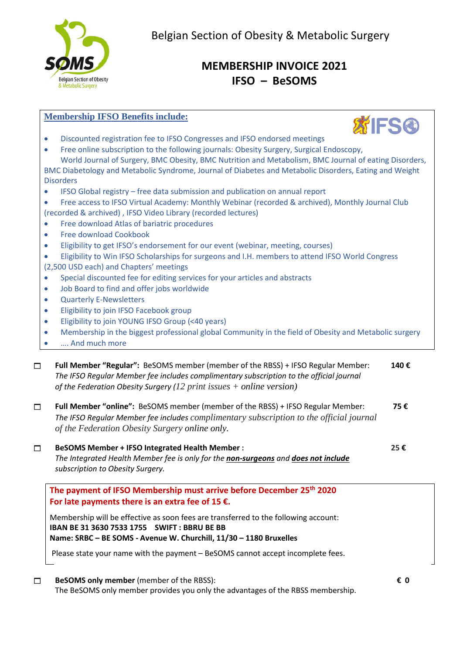

# **MEMBERSHIP INVOICE 2021 IFSO – BeSOMS**

#### **Membership IFSO Benefits include:**



- Discounted registration fee to IFSO Congresses and IFSO endorsed meetings
- Free online subscription to the following journals: Obesity Surgery, Surgical Endoscopy, World Journal of Surgery, BMC Obesity, BMC Nutrition and Metabolism, BMC Journal of eating Disorders, BMC Diabetology and Metabolic Syndrome, Journal of Diabetes and Metabolic Disorders, Eating and Weight **Disorders**
- IFSO Global registry free data submission and publication on annual report
- Free access to IFSO Virtual Academy: Monthly Webinar (recorded & archived), Monthly Journal Club (recorded & archived) , IFSO Video Library (recorded lectures)
- **•** Free download Atlas of bariatric procedures
- Free download Cookbook
- Eligibility to get IFSO's endorsement for our event (webinar, meeting, courses)
- Eligibility to Win IFSO Scholarships for surgeons and I.H. members to attend IFSO World Congress (2,500 USD each) and Chapters' meetings
- Special discounted fee for editing services for your articles and abstracts
- Job Board to find and offer jobs worldwide
- Quarterly E-Newsletters
- **•** Eligibility to join IFSO Facebook group
- Eligibility to join YOUNG IFSO Group (<40 years)
- Membership in the biggest professional global Community in the field of Obesity and Metabolic surgery
- …. And much more

 **Full Member "Regular":** BeSOMS member (member of the RBSS) + IFSO Regular Member: **140 €**  *The IFSO Regular Member fee includes complimentary subscription to the official journal of the Federation Obesity Surgery (12 print issues + online version)* 

| Full Member "online": BeSOMS member (member of the RBSS) + IFSO Regular Member:         | 75€ |
|-----------------------------------------------------------------------------------------|-----|
| The IFSO Regular Member fee includes complimentary subscription to the official journal |     |
| of the Federation Obesity Surgery online only.                                          |     |

 **BeSOMS Member + IFSO Integrated Health Member : 25 €** *The Integrated Health Member fee is only for the non-surgeons and does not include subscription to Obesity Surgery.*

## **The payment of IFSO Membership must arrive before December 25th 2020 For late payments there is an extra fee of 15 €.**

Membership will be effective as soon fees are transferred to the following account: **IBAN BE 31 3630 7533 1755 SWIFT : BBRU BE BB Name: SRBC – BE SOMS - Avenue W. Churchill, 11/30 – 1180 Bruxelles** 

Please state your name with the payment – BeSOMS cannot accept incomplete fees.

## **BeSOMS only member** (member of the RBSS): **€ 0**

The BeSOMS only member provides you only the advantages of the RBSS membership.